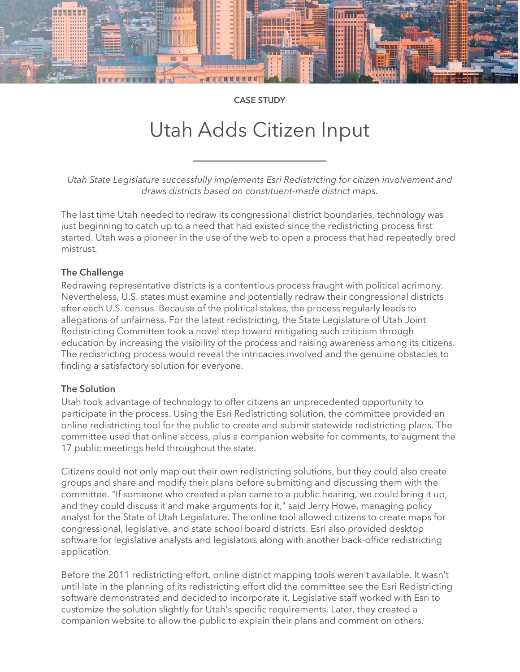

CASE STUDY

# Utah Adds Citizen Input

*Utah State Legislature successfully implements Esri Redistricting for citizen involvement and draws districts based on constituent-made district maps.*

The last time Utah needed to redraw its congressional district boundaries, technology was just beginning to catch up to a need that had existed since the redistricting process first started. Utah was a pioneer in the use of the web to open a process that had repeatedly bred mistrust.

# The Challenge

Redrawing representative districts is a contentious process fraught with political acrimony. Nevertheless, U.S. states must examine and potentially redraw their congressional districts after each U.S. census. Because of the political stakes, the process regularly leads to allegations of unfairness. For the latest redistricting, the State Legislature of Utah Joint Redistricting Committee took a novel step toward mitigating such criticism through education by increasing the visibility of the process and raising awareness among its citizens. The redistricting process would reveal the intricacies involved and the genuine obstacles to finding a satisfactory solution for everyone.

### The Solution

Utah took advantage of technology to offer citizens an unprecedented opportunity to participate in the process. Using the Esri Redistricting solution, the committee provided an online redistricting tool for the public to create and submit statewide redistricting plans. The committee used that online access, plus a companion website for comments, to augment the 17 public meetings held throughout the state.

Citizens could not only map out their own redistricting solutions, but they could also create groups and share and modify their plans before submitting and discussing them with the committee. "If someone who created a plan came to a public hearing, we could bring it up, and they could discuss it and make arguments for it," said Jerry Howe, managing policy analyst for the State of Utah Legislature. The online tool allowed citizens to create maps for congressional, legislative, and state school board districts. Esri also provided desktop software for legislative analysts and legislators along with another back-office redistricting application.

Before the 2011 redistricting effort, online district mapping tools weren't available. It wasn't until late in the planning of its redistricting effort did the committee see the Esri Redistricting software demonstrated and decided to incorporate it. Legislative staff worked with Esri to customize the solution slightly for Utah's specific requirements. Later, they created a companion website to allow the public to explain their plans and comment on others.